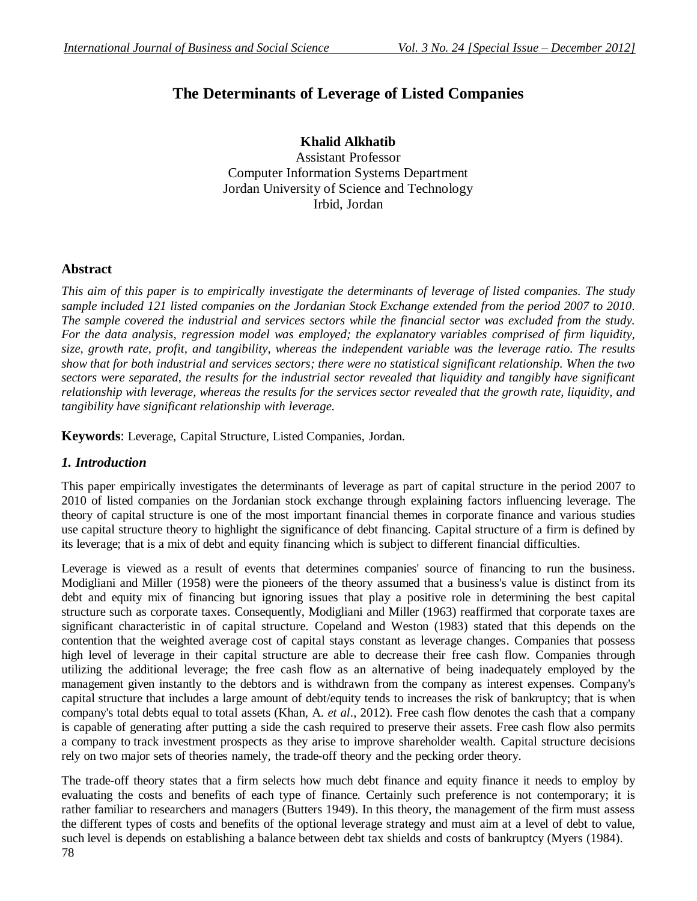# **The Determinants of Leverage of Listed Companies**

**Khalid Alkhatib** Assistant Professor Computer Information Systems Department Jordan University of Science and Technology Irbid, Jordan

### **Abstract**

*This aim of this paper is to empirically investigate the determinants of leverage of listed companies. The study sample included 121 listed companies on the Jordanian Stock Exchange extended from the period 2007 to 2010. The sample covered the industrial and services sectors while the financial sector was excluded from the study. For the data analysis, regression model was employed; the explanatory variables comprised of firm liquidity, size, growth rate, profit, and tangibility, whereas the independent variable was the leverage ratio. The results show that for both industrial and services sectors; there were no statistical significant relationship. When the two sectors were separated, the results for the industrial sector revealed that liquidity and tangibly have significant relationship with leverage, whereas the results for the services sector revealed that the growth rate, liquidity, and tangibility have significant relationship with leverage.* 

**Keywords**: Leverage, Capital Structure, Listed Companies, Jordan.

### *1. Introduction*

This paper empirically investigates the determinants of leverage as part of capital structure in the period 2007 to 2010 of listed companies on the Jordanian stock exchange through explaining factors influencing leverage. The theory of capital structure is one of the most important financial themes in corporate finance and various studies use capital structure theory to highlight the significance of debt financing. Capital structure of a firm is defined by its leverage; that is a mix of debt and equity financing which is subject to different financial difficulties.

Leverage is viewed as a result of events that determines companies' source of financing to run the business. Modigliani and Miller (1958) were the pioneers of the theory assumed that a business's value is distinct from its debt and equity mix of financing but ignoring issues that play a positive role in determining the best capital structure such as corporate taxes. Consequently, Modigliani and Miller (1963) reaffirmed that corporate taxes are significant characteristic in of capital structure. Copeland and Weston (1983) stated that this depends on the contention that the weighted average cost of capital stays constant as leverage changes. Companies that possess high level of leverage in their capital structure are able to decrease their free cash flow. Companies through utilizing the additional leverage; the free cash flow as an alternative of being inadequately employed by the management given instantly to the debtors and is withdrawn from the company as interest expenses. Company's capital structure that includes a large amount of debt/equity tends to increases the risk of bankruptcy; that is when company's total debts equal to total assets (Khan, A. *et al*., 2012). Free cash flow denotes the cash that a company is capable of generating after putting a side the cash required to preserve their assets. Free cash flow also permits a company to track investment prospects as they arise to improve shareholder wealth. Capital structure decisions rely on two major sets of theories namely, the trade-off theory and the pecking order theory.

The trade-off theory states that a firm selects how much debt finance and equity finance it needs to employ by evaluating the costs and benefits of each type of finance. Certainly such preference is not contemporary; it is rather familiar to researchers and managers (Butters 1949). In this theory, the management of the firm must assess the different types of costs and benefits of the optional leverage strategy and must aim at a level of debt to value, such level is depends on establishing a balance between debt tax shields and costs of bankruptcy (Myers (1984).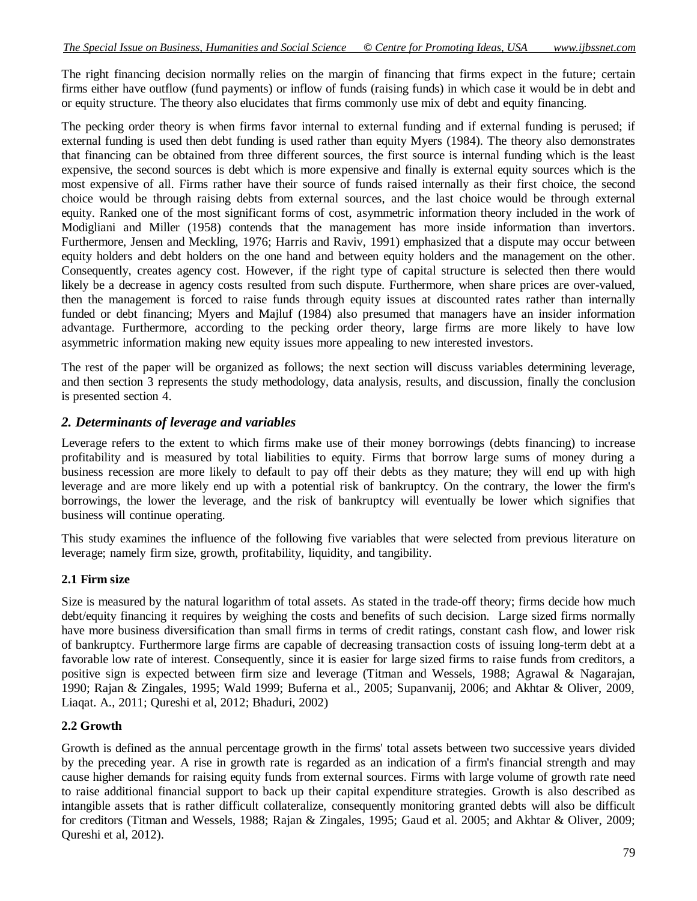The right financing decision normally relies on the margin of financing that firms expect in the future; certain firms either have outflow (fund payments) or inflow of funds (raising funds) in which case it would be in debt and or equity structure. The theory also elucidates that firms commonly use mix of debt and equity financing.

The pecking order theory is when firms favor internal to external funding and if external funding is perused; if external funding is used then debt funding is used rather than equity Myers (1984). The theory also demonstrates that financing can be obtained from three different sources, the first source is internal funding which is the least expensive, the second sources is debt which is more expensive and finally is external equity sources which is the most expensive of all. Firms rather have their source of funds raised internally as their first choice, the second choice would be through raising debts from external sources, and the last choice would be through external equity. Ranked one of the most significant forms of cost, asymmetric information theory included in the work of Modigliani and Miller (1958) contends that the management has more inside information than invertors. Furthermore, Jensen and Meckling, 1976; Harris and Raviv, 1991) emphasized that a dispute may occur between equity holders and debt holders on the one hand and between equity holders and the management on the other. Consequently, creates agency cost. However, if the right type of capital structure is selected then there would likely be a decrease in agency costs resulted from such dispute. Furthermore, when share prices are over-valued, then the management is forced to raise funds through equity issues at discounted rates rather than internally funded or debt financing; Myers and Majluf (1984) also presumed that managers have an insider information advantage. Furthermore, according to the pecking order theory, large firms are more likely to have low asymmetric information making new equity issues more appealing to new interested investors.

The rest of the paper will be organized as follows; the next section will discuss variables determining leverage, and then section 3 represents the study methodology, data analysis, results, and discussion, finally the conclusion is presented section 4.

### *2. Determinants of leverage and variables*

Leverage refers to the extent to which firms make use of their money borrowings (debts financing) to increase profitability and is measured by total liabilities to equity. Firms that borrow large sums of money during a business recession are more likely to default to pay off their debts as they mature; they will end up with high leverage and are more likely end up with a potential risk of bankruptcy. On the contrary, the lower the firm's borrowings, the lower the leverage, and the risk of bankruptcy will eventually be lower which signifies that business will continue operating.

This study examines the influence of the following five variables that were selected from previous literature on leverage; namely firm size, growth, profitability, liquidity, and tangibility.

### **2.1 Firm size**

Size is measured by the natural logarithm of total assets. As stated in the trade-off theory; firms decide how much debt/equity financing it requires by weighing the costs and benefits of such decision. Large sized firms normally have more business diversification than small firms in terms of credit ratings, constant cash flow, and lower risk of bankruptcy. Furthermore large firms are capable of decreasing transaction costs of issuing long-term debt at a favorable low rate of interest. Consequently, since it is easier for large sized firms to raise funds from creditors, a positive sign is expected between firm size and leverage (Titman and Wessels, 1988; Agrawal & Nagarajan, 1990; Rajan & Zingales, 1995; Wald 1999; Buferna et al., 2005; Supanvanij, 2006; and Akhtar & Oliver, 2009, Liaqat. A., 2011; Qureshi et al, 2012; Bhaduri, 2002)

### **2.2 Growth**

Growth is defined as the annual percentage growth in the firms' total assets between two successive years divided by the preceding year. A rise in growth rate is regarded as an indication of a firm's financial strength and may cause higher demands for raising equity funds from external sources. Firms with large volume of growth rate need to raise additional financial support to back up their capital expenditure strategies. Growth is also described as intangible assets that is rather difficult collateralize, consequently monitoring granted debts will also be difficult for creditors (Titman and Wessels, 1988; Rajan & Zingales, 1995; Gaud et al. 2005; and Akhtar & Oliver, 2009; Qureshi et al, 2012).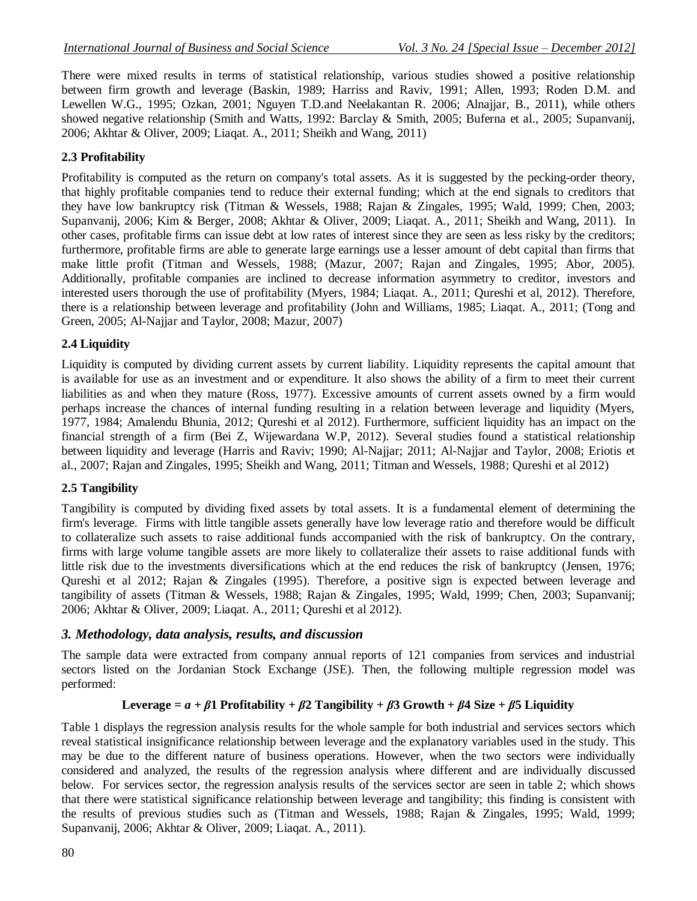There were mixed results in terms of statistical relationship, various studies showed a positive relationship between firm growth and leverage (Baskin, 1989; Harriss and Raviv, 1991; Allen, 1993; Roden D.M. and Lewellen W.G., 1995; Ozkan, 2001; Nguyen T.D.and Neelakantan R. 2006; Alnajjar, B., 2011), while others showed negative relationship (Smith and Watts, 1992: Barclay & Smith, 2005; Buferna et al., 2005; Supanvanij, 2006; Akhtar & Oliver, 2009; Liaqat. A., 2011; Sheikh and Wang, 2011)

#### **2.3 Profitability**

Profitability is computed as the return on company's total assets. As it is suggested by the pecking-order theory, that highly profitable companies tend to reduce their external funding; which at the end signals to creditors that they have low bankruptcy risk (Titman & Wessels, 1988; Rajan & Zingales, 1995; Wald, 1999; Chen, 2003; Supanvanij, 2006; Kim & Berger, 2008; Akhtar & Oliver, 2009; Liaqat. A., 2011; Sheikh and Wang, 2011). In other cases, profitable firms can issue debt at low rates of interest since they are seen as less risky by the creditors; furthermore, profitable firms are able to generate large earnings use a lesser amount of debt capital than firms that make little profit (Titman and Wessels, 1988; (Mazur, 2007; Rajan and Zingales, 1995; Abor, 2005). Additionally, profitable companies are inclined to decrease information asymmetry to creditor, investors and interested users thorough the use of profitability (Myers, 1984; Liaqat. A., 2011; Qureshi et al, 2012). Therefore, there is a relationship between leverage and profitability (John and Williams, 1985; Liaqat. A., 2011; (Tong and Green, 2005; Al-Najjar and Taylor, 2008; Mazur, 2007)

### **2.4 Liquidity**

Liquidity is computed by dividing current assets by current liability. Liquidity represents the [capital](http://useconomy.about.com/od/supply/p/Capital_Supply.htm) amount that is available for use as an investment and or expenditure. It also shows the ability of a firm to meet their current liabilities as and when they mature (Ross, 1977). Excessive amounts of current assets owned by a firm would perhaps increase the chances of internal funding resulting in a relation between leverage and liquidity (Myers, 1977, 1984; Amalendu Bhunia, 2012; Qureshi et al 2012). Furthermore, sufficient liquidity has an impact on the financial strength of a firm (Bei Z, Wijewardana W.P, 2012). Several studies found a statistical relationship between liquidity and leverage (Harris and Raviv; 1990; Al-Najjar; 2011; Al-Najjar and Taylor, 2008; Eriotis et al., 2007; Rajan and Zingales, 1995; Sheikh and Wang, 2011; Titman and Wessels, 1988; Qureshi et al 2012)

### **2.5 Tangibility**

Tangibility is computed by dividing fixed assets by total assets. It is a fundamental element of determining the firm's leverage. Firms with little tangible assets generally have low leverage ratio and therefore would be difficult to collateralize such assets to raise additional funds accompanied with the risk of bankruptcy. On the contrary, firms with large volume tangible assets are more likely to collateralize their assets to raise additional funds with little risk due to the investments diversifications which at the end reduces the risk of bankruptcy (Jensen, 1976; Qureshi et al 2012; Rajan & Zingales (1995). Therefore, a positive sign is expected between leverage and tangibility of assets (Titman & Wessels, 1988; Rajan & Zingales, 1995; Wald, 1999; Chen, 2003; Supanvanij; 2006; Akhtar & Oliver, 2009; Liaqat. A., 2011; Qureshi et al 2012).

#### *3. Methodology, data analysis, results, and discussion*

The sample data were extracted from company annual reports of 121 companies from services and industrial sectors listed on the Jordanian Stock Exchange (JSE). Then, the following multiple regression model was performed:

### **Leverage**  $= a + \beta$ **1** Profitability +  $\beta$ 2 Tangibility +  $\beta$ 3 Growth +  $\beta$ 4 Size +  $\beta$ 5 Liquidity

Table 1 displays the regression analysis results for the whole sample for both industrial and services sectors which reveal statistical insignificance relationship between leverage and the explanatory variables used in the study. This may be due to the different nature of business operations. However, when the two sectors were individually considered and analyzed, the results of the regression analysis where different and are individually discussed below. For services sector, the regression analysis results of the services sector are seen in table 2; which shows that there were statistical significance relationship between leverage and tangibility; this finding is consistent with the results of previous studies such as (Titman and Wessels, 1988; Rajan & Zingales, 1995; Wald, 1999; Supanvanij, 2006; Akhtar & Oliver, 2009; Liaqat. A., 2011).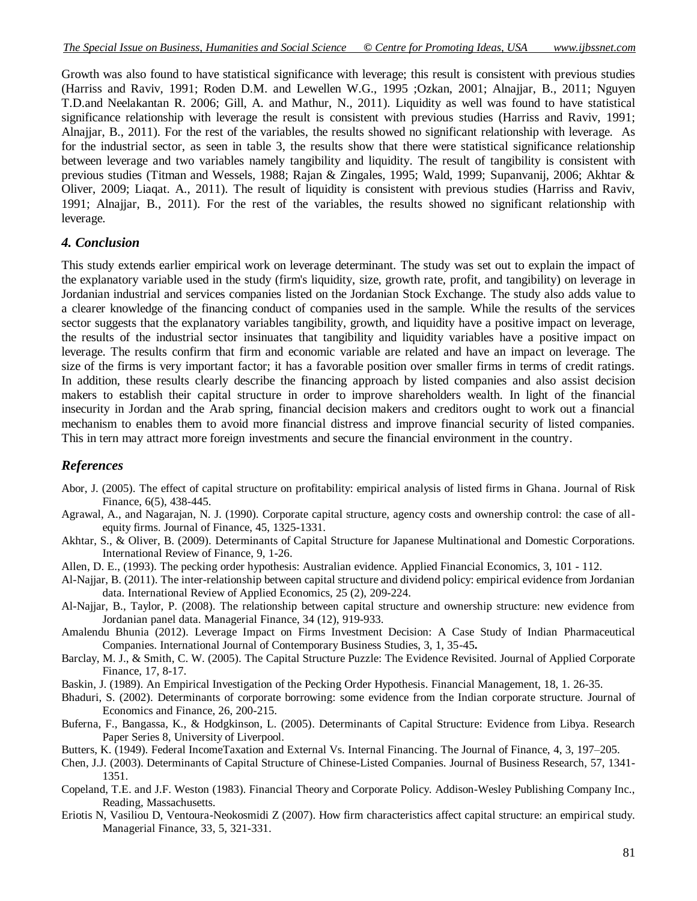Growth was also found to have statistical significance with leverage; this result is consistent with previous studies (Harriss and Raviv, 1991; Roden D.M. and Lewellen W.G., 1995 ;Ozkan, 2001; Alnajjar, B., 2011; Nguyen T.D.and Neelakantan R. 2006; Gill, A. and Mathur, N., 2011). Liquidity as well was found to have statistical significance relationship with leverage the result is consistent with previous studies (Harriss and Raviv, 1991; Alnajjar, B., 2011). For the rest of the variables, the results showed no significant relationship with leverage. As for the industrial sector, as seen in table 3, the results show that there were statistical significance relationship between leverage and two variables namely tangibility and liquidity. The result of tangibility is consistent with previous studies (Titman and Wessels, 1988; Rajan & Zingales, 1995; Wald, 1999; Supanvanij, 2006; Akhtar & Oliver, 2009; Liaqat. A., 2011). The result of liquidity is consistent with previous studies (Harriss and Raviv, 1991; Alnajjar, B., 2011). For the rest of the variables, the results showed no significant relationship with leverage.

#### *4. Conclusion*

This study extends earlier empirical work on leverage determinant. The study was set out to explain the impact of the explanatory variable used in the study (firm's liquidity, size, growth rate, profit, and tangibility) on leverage in Jordanian industrial and services companies listed on the Jordanian Stock Exchange. The study also adds value to a clearer knowledge of the financing conduct of companies used in the sample. While the results of the services sector suggests that the explanatory variables tangibility, growth, and liquidity have a positive impact on leverage, the results of the industrial sector insinuates that tangibility and liquidity variables have a positive impact on leverage. The results confirm that firm and economic variable are related and have an impact on leverage. The size of the firms is very important factor; it has a favorable position over smaller firms in terms of credit ratings. In addition, these results clearly describe the financing approach by listed companies and also assist decision makers to establish their capital structure in order to improve shareholders wealth. In light of the financial insecurity in Jordan and the Arab spring, financial decision makers and creditors ought to work out a financial mechanism to enables them to avoid more financial distress and improve financial security of listed companies. This in tern may attract more foreign investments and secure the financial environment in the country.

### *References*

- Abor, J. (2005). The effect of capital structure on profitability: empirical analysis of listed firms in Ghana. Journal of Risk Finance, 6(5), 438-445.
- Agrawal, A., and Nagarajan, N. J. (1990). Corporate capital structure, agency costs and ownership control: the case of allequity firms. Journal of Finance, 45, 1325-1331.
- Akhtar, S., & Oliver, B. (2009). Determinants of Capital Structure for Japanese Multinational and Domestic Corporations. International Review of Finance, 9, 1-26.
- Allen, D. E., (1993). The pecking order hypothesis: Australian evidence. Applied Financial Economics, 3, 101 112.
- [Al-Najjar, B.](http://eprints.mdx.ac.uk/view/creators/Al-Najjar=3ABasil=3A=3A.html) (2011). [The inter-relationship between capital structure and dividend policy: empirical evidence from Jordanian](http://eprints.mdx.ac.uk/5580/)  [data.](http://eprints.mdx.ac.uk/5580/) International Review of Applied Economics, 25 (2), 209-224.
- [Al-Najjar, B.](http://eprints.mdx.ac.uk/view/creators/Al-Najjar=3ABasil=3A=3A.html), [Taylor, P.](http://eprints.mdx.ac.uk/view/creators/Taylor=3AP=2E=3A=3A.html) (2008). [The relationship between capital structure and ownership structure: new evidence from](http://eprints.mdx.ac.uk/1142/)  [Jordanian panel data.](http://eprints.mdx.ac.uk/1142/) Managerial Finance, 34 (12), 919-933.
- Amalendu Bhunia (2012). Leverage Impact on Firms Investment Decision: A Case Study of Indian Pharmaceutical Companies. International Journal of Contemporary Business Studies, 3, 1, 35-45**.**
- Barclay, M. J., & Smith, C. W. (2005). The Capital Structure Puzzle: The Evidence Revisited. Journal of Applied Corporate Finance, 17, 8-17.
- Baskin, J. (1989). An Empirical Investigation of the Pecking Order Hypothesis. Financial Management, 18, 1. 26-35.
- Bhaduri, S. (2002). Determinants of corporate borrowing: some evidence from the Indian corporate structure. Journal of Economics and Finance, 26, 200-215.
- Buferna, F., Bangassa, K., & Hodgkinson, L. (2005). Determinants of Capital Structure: Evidence from Libya. Research Paper Series 8, University of Liverpool.
- Butters, K. (1949). Federal IncomeTaxation and External Vs. Internal Financing. The Journal of Finan[ce, 4, 3](http://onlinelibrary.wiley.com/doi/10.1111/jofi.1949.4.issue-3/issuetoc), 197–205.
- Chen, J.J. (2003). Determinants of Capital Structure of Chinese-Listed Companies. Journal of Business Research, 57, 1341- 1351.
- Copeland, T.E. and J.F. Weston (1983). Financial Theory and Corporate Policy. Addison-Wesley Publishing Company Inc., Reading, Massachusetts.
- Eriotis N, Vasiliou D, Ventoura-Neokosmidi Z (2007). How firm characteristics affect capital structure: an empirical study. Managerial Finance, 33, 5, 321-331.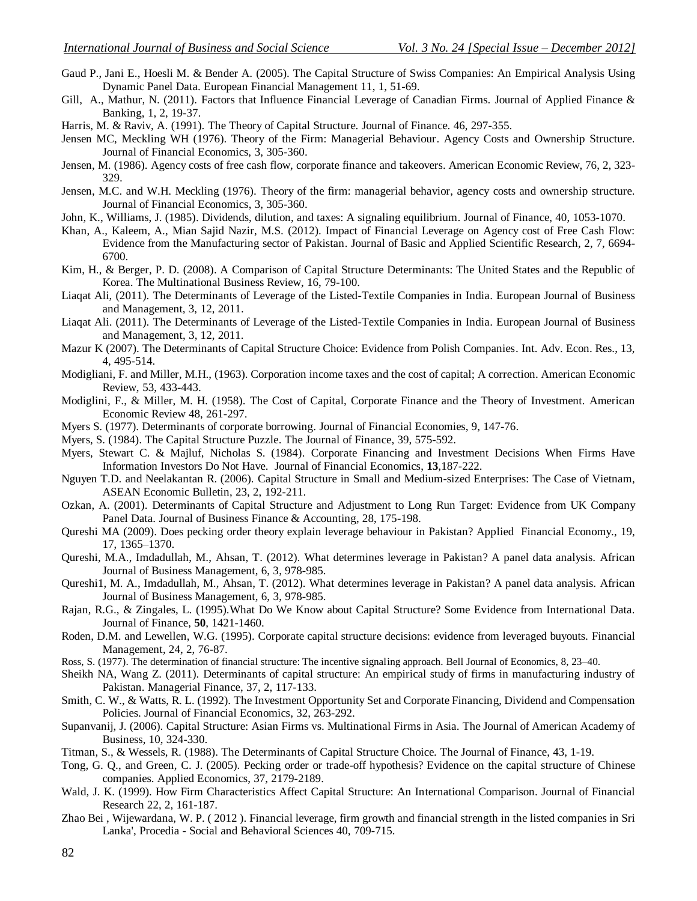- Gaud P., Jani E., Hoesli M. & Bender A. (2005). The Capital Structure of Swiss Companies: An Empirical Analysis Using Dynamic Panel Data. European Financial Management 11, 1, 51-69.
- Gill, A., Mathur, N. (2011). Factors that Influence Financial Leverage of Canadian Firms. Journal of Applied Finance & Banking, 1, 2, 19-37.
- Harris, M. & Raviv, A. (1991). The Theory of Capital Structure. Journal of Finance. 46, 297-355.
- Jensen MC, Meckling WH (1976). Theory of the Firm: Managerial Behaviour. Agency Costs and Ownership Structure. Journal of Financial Economics, 3, 305-360.
- Jensen, M. (1986). Agency costs of free cash flow, corporate finance and takeovers. American Economic Review, 76, 2, 323- 329.
- Jensen, M.C. and W.H. Meckling (1976). Theory of the firm: managerial behavior, agency costs and ownership structure. Journal of Financial Economics, 3, 305-360.
- John, K., Williams, J. (1985). Dividends, dilution, and taxes: A signaling equilibrium. Journal of Finance, 40, 1053-1070.
- Khan, A., Kaleem, A., Mian Sajid Nazir, M.S. (2012). Impact of Financial Leverage on Agency cost of Free Cash Flow: Evidence from the Manufacturing sector of Pakistan. Journal of Basic and Applied Scientific Research, 2, 7, 6694- 6700.
- Kim, H., & Berger, P. D. (2008). A Comparison of Capital Structure Determinants: The United States and the Republic of Korea. The Multinational Business Review, 16, 79-100.
- Liaqat Ali, (2011). The Determinants of Leverage of the Listed-Textile Companies in India. European Journal of Business and Management, 3, 12, 2011.
- Liaqat Ali. (2011). The Determinants of Leverage of the Listed-Textile Companies in India. European Journal of Business and Management, 3, 12, 2011.
- Mazur K (2007). The Determinants of Capital Structure Choice: Evidence from Polish Companies. Int. Adv. Econ. Res., 13, 4, 495-514.
- Modigliani, F. and Miller, M.H., (1963). Corporation income taxes and the cost of capital; A correction. American Economic Review, 53, 433-443.
- Modiglini, F., & Miller, M. H. (1958). The Cost of Capital, Corporate Finance and the Theory of Investment. American Economic Review 48, 261-297.
- Myers S. (1977). Determinants of corporate borrowing. Journal of Financial Economies, 9, 147-76.
- Myers, S. (1984). The Capital Structure Puzzle. The Journal of Finance, 39, 575-592.
- Myers, Stewart C. & Majluf, Nicholas S. (1984). Corporate Financing and Investment Decisions When Firms Have Information Investors Do Not Have. Journal of Financial Economics, **13**,187-222.
- Nguyen T.D. and Neelakantan R. (2006). Capital Structure in Small and Medium-sized Enterprises: The Case of Vietnam, ASEAN Economic Bulletin, 23, 2, 192-211.
- Ozkan, A. (2001). Determinants of Capital Structure and Adjustment to Long Run Target: Evidence from UK Company Panel Data. Journal of Business Finance & Accounting, 28, 175-198.
- Qureshi MA (2009). Does pecking order theory explain leverage behaviour in Pakistan? Applied Financial Economy., 19, 17, 1365–1370.
- Qureshi, M.A., Imdadullah, M., Ahsan, T. (2012). What determines leverage in Pakistan? A panel data analysis. African Journal of Business Management, 6, 3, 978-985.
- Qureshi1, M. A., Imdadullah, M., Ahsan, T. (2012). What determines leverage in Pakistan? A panel data analysis. African Journal of Business Management, 6, 3, 978-985.
- Rajan, R.G., & Zingales, L. (1995).What Do We Know about Capital Structure? Some Evidence from International Data. Journal of Finance, **50**, 1421-1460.
- Roden, D.M. and Lewellen, W.G. (1995). Corporate capital structure decisions: evidence from leveraged buyouts. Financial Management, 24, 2, 76-87.
- Ross, S. (1977). The determination of financial structure: The incentive signaling approach. Bell Journal of Economics, 8, 23–40.
- Sheikh NA, Wang Z. (2011). Determinants of capital structure: An empirical study of firms in manufacturing industry of Pakistan. Managerial Finance, 37, 2, 117-133.
- Smith, C. W., & Watts, R. L. (1992). The Investment Opportunity Set and Corporate Financing, Dividend and Compensation Policies. Journal of Financial Economics, 32, 263-292.
- Supanvanij, J. (2006). Capital Structure: Asian Firms vs. Multinational Firms in Asia. The Journal of American Academy of Business, 10, 324-330.
- Titman, S., & Wessels, R. (1988). The Determinants of Capital Structure Choice. The Journal of Finance, 43, 1-19.
- Tong, G. Q., and Green, C. J. (2005). Pecking order or trade-off hypothesis? Evidence on the capital structure of Chinese companies. Applied Economics, 37, 2179-2189.
- Wald, J. K. (1999). How Firm Characteristics Affect Capital Structure: An International Comparison. Journal of Financial Research 22, 2, 161-187.
- Zhao Bei , Wijewardana, W. P. ( 2012 ). Financial leverage, firm growth and financial strength in the listed companies in Sri Lanka', Procedia - Social and Behavioral Sciences 40, 709-715.